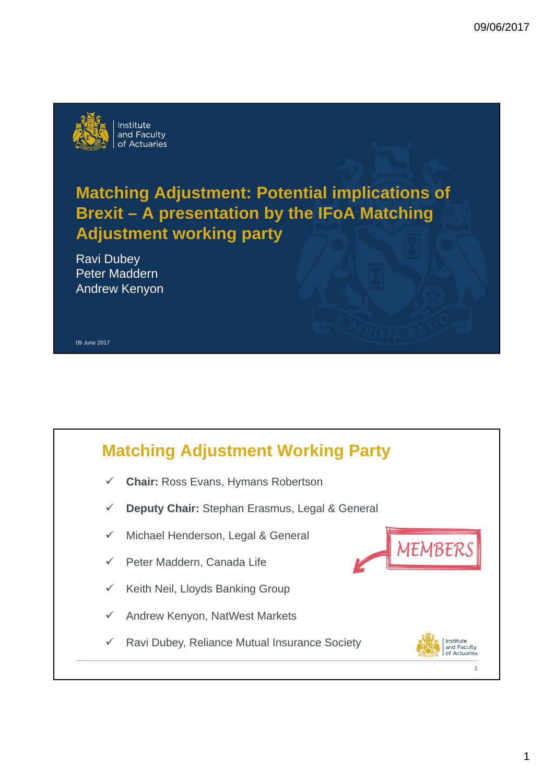

# **Matching Adjustment: Potential implications of Brexit – A presentation by the IFoA Matching Adjustment working party**

Ravi Dubey Peter Maddern Andrew Kenyon

#### 09 June 2017

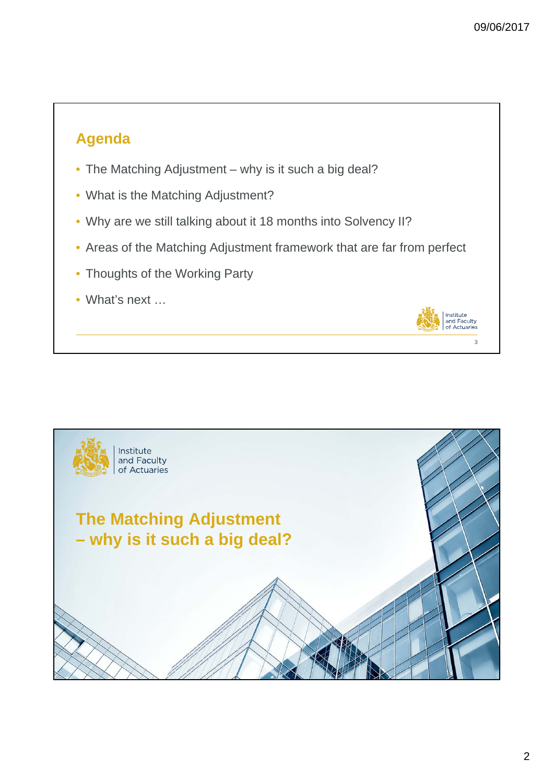$\overline{\mathbf{3}}$ 

Institute<br>and Faculty<br>of Actuaries

## **Agenda**

- The Matching Adjustment why is it such a big deal?
- What is the Matching Adjustment?
- Why are we still talking about it 18 months into Solvency II?
- Areas of the Matching Adjustment framework that are far from perfect
- Thoughts of the Working Party
- What's next ...

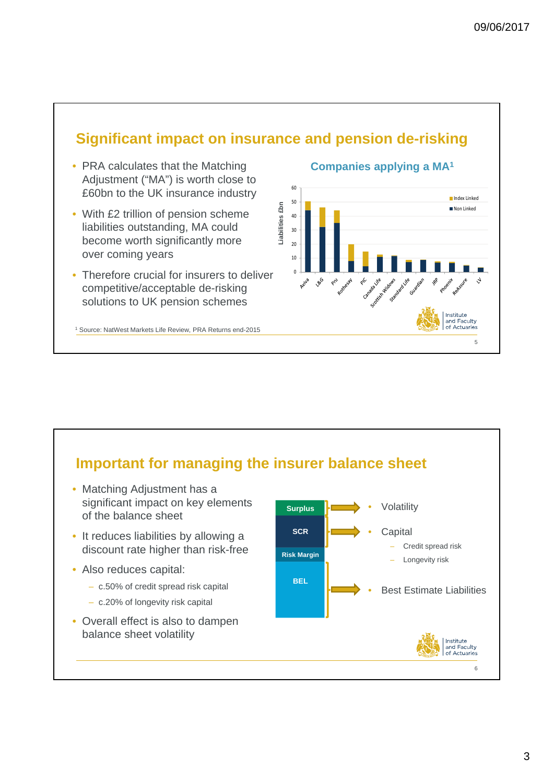## **Significant impact on insurance and pension de-risking**

- PRA calculates that the Matching Adjustment ("MA") is worth close to £60bn to the UK insurance industry
- With £2 trillion of pension scheme liabilities outstanding, MA could become worth significantly more over coming years
- Therefore crucial for insurers to deliver competitive/acceptable de-risking solutions to UK pension schemes

<sup>1</sup> Source: NatWest Markets Life Review, PRA Returns end-2015

#### **Companies applying a MA1**



## **Important for managing the insurer balance sheet**

- Matching Adjustment has a significant impact on key elements of the balance sheet
- It reduces liabilities by allowing a discount rate higher than risk-free
- Also reduces capital:
	- c.50% of credit spread risk capital
	- c.20% of longevity risk capital
- Overall effect is also to dampen balance sheet volatility

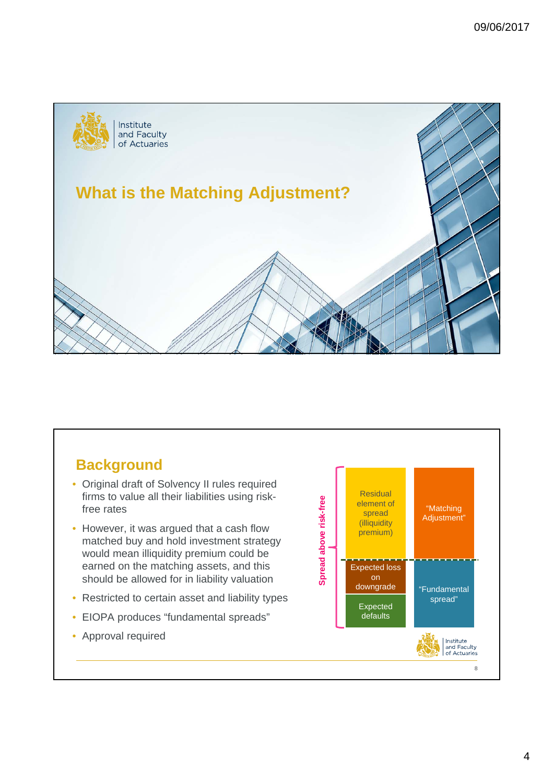

## **Background**

- Original draft of Solvency II rules required firms to value all their liabilities using riskfree rates
- However, it was argued that a cash flow matched buy and hold investment strategy would mean illiquidity premium could be earned on the matching assets, and this should be allowed for in liability valuation
- Restricted to certain asset and liability types
- EIOPA produces "fundamental spreads"
- Approval required

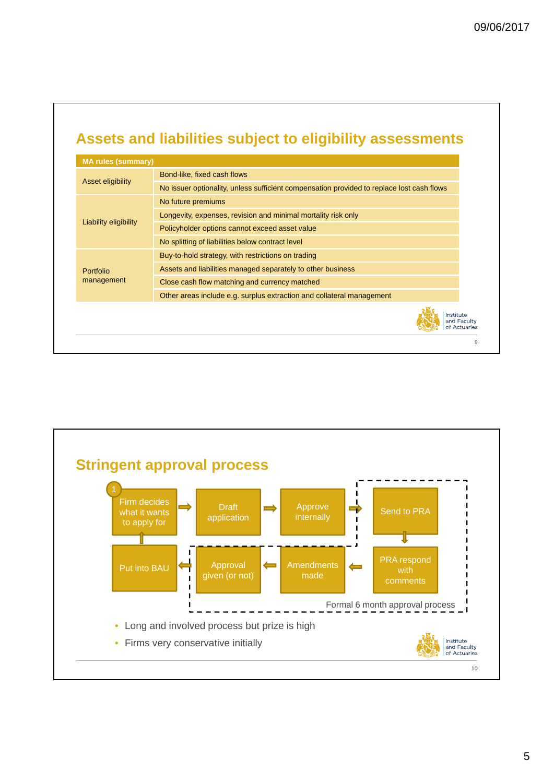## **Assets and liabilities subject to eligibility assessments**

| <b>MA rules (summary)</b> |                                                                                           |
|---------------------------|-------------------------------------------------------------------------------------------|
| Asset eligibility         | Bond-like, fixed cash flows                                                               |
|                           | No issuer optionality, unless sufficient compensation provided to replace lost cash flows |
| Liability eligibility     | No future premiums                                                                        |
|                           | Longevity, expenses, revision and minimal mortality risk only                             |
|                           | Policyholder options cannot exceed asset value                                            |
|                           | No splitting of liabilities below contract level                                          |
| Portfolio<br>management   | Buy-to-hold strategy, with restrictions on trading                                        |
|                           | Assets and liabilities managed separately to other business                               |
|                           | Close cash flow matching and currency matched                                             |
|                           | Other areas include e.g. surplus extraction and collateral management                     |
|                           | Institute<br>and Faculty<br>of Actuaries                                                  |
|                           |                                                                                           |

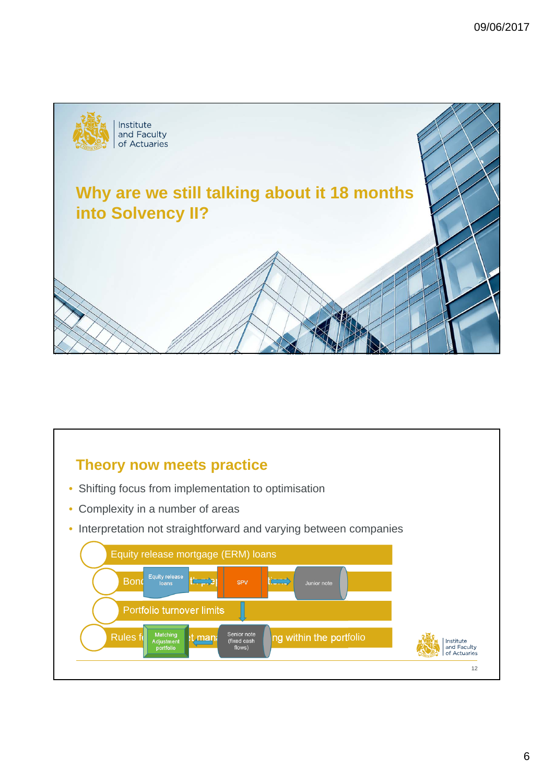

## **Theory now meets practice**

- Shifting focus from implementation to optimisation
- Complexity in a number of areas
- Interpretation not straightforward and varying between companies

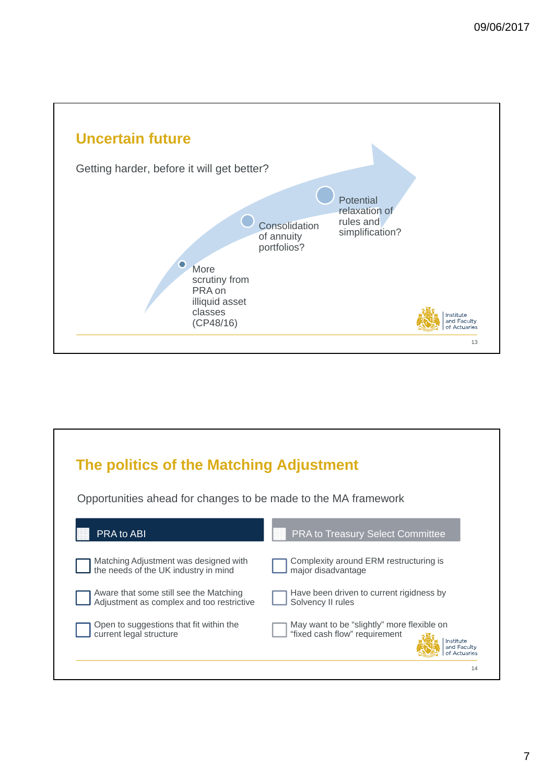

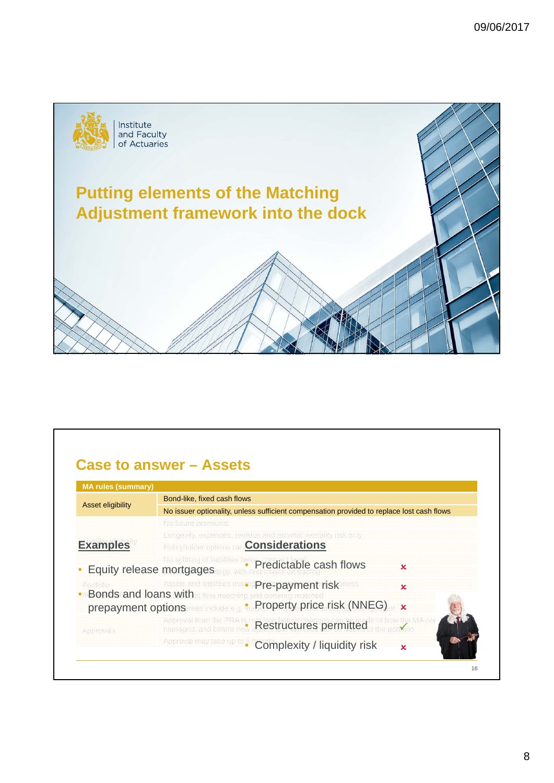

## **Case to answer – Assets**

| Asset eligibility        | Bond-like, fixed cash flows                                                                                                       |
|--------------------------|-----------------------------------------------------------------------------------------------------------------------------------|
|                          | No issuer optionality, unless sufficient compensation provided to replace lost cash flows                                         |
|                          | No future premiums.                                                                                                               |
| <b>Examples</b>          | Longevity, expenses, revision and minimal mortality risk only<br><b>Considerations</b><br>Possyndider options can                 |
| Equity release mortgages | <b>No soliting of liabilities before predictable cash flows</b><br>×                                                              |
| Perfeile                 | Assets and lisbilities man<br>Pre-payment risk<br>$\mathbf x$<br><b>Bonds and loans with</b> a flow matching and currency matched |
|                          | • Property price risk (NNEG) x<br>prepayment options and a choice of                                                              |
| Aporovais                | Approval from the PRA is a <b>Restructures permitted</b> to how the MA por                                                        |
|                          | <b>Approval reay take up to a Complexity / liquidity risk</b><br>×                                                                |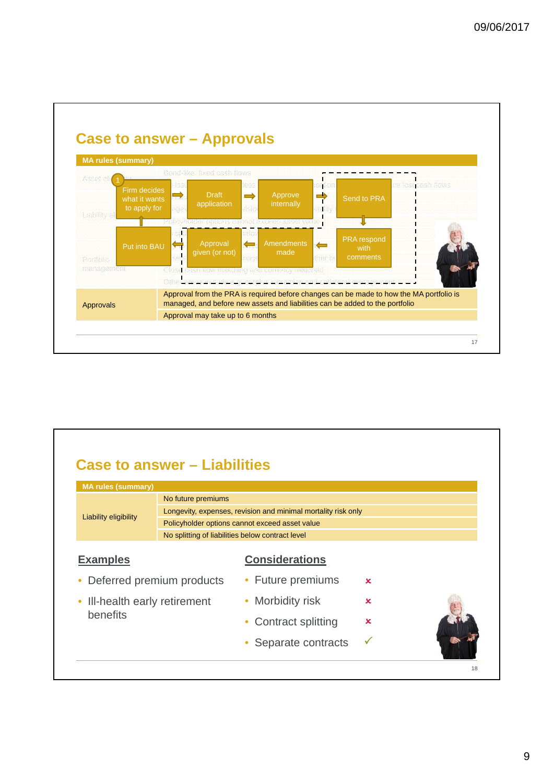

#### **Case to answer – Liabilities**  18 **MA rules (summary)** Asset eligibility Bond-like, fixed cash flows and cash flows and cash flows are set of the set of the set of t<br>No future premiums and cash flows are set of the set of the set of the set of the set of the set of the set of Longevity, expenses, revision and minimal mortality risk only measure the case of the cash flows Policyholder options cannot exceed asset value No splitting of liabilities below contract level more contract on the manner of the manner of the manner of the **Considerations** • Deferred premium products • Ill-health early retirement um products • Future premiums etirement • Morbidity risk  $\sum_{i=1}^{n}$ Approval from the PRA is required before changes can be made to how the MA portfolio is • Contract splitting  $\boldsymbol{\mathsf{x}}$ • Separate contracts Liability eligibility **Examples** benefits  $\overline{\mathbf{x}}$  $\overline{\mathbf{x}}$  $\overline{\mathbf{x}}$  $\checkmark$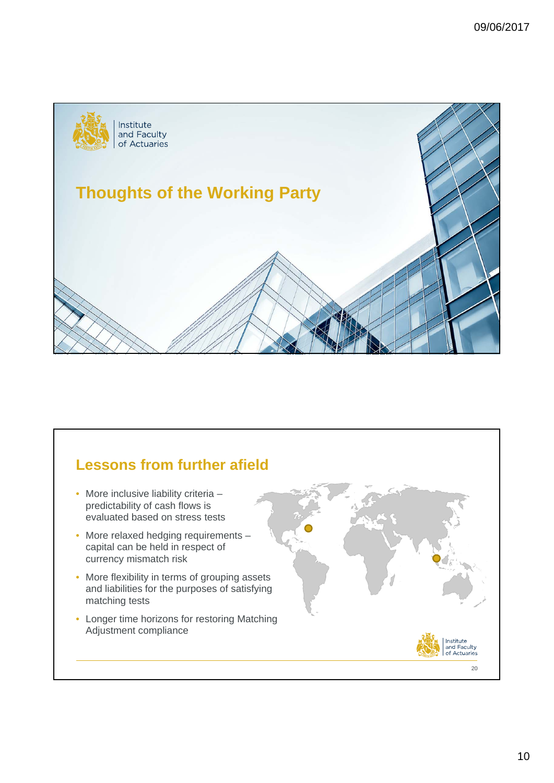

## **Lessons from further afield**

- More inclusive liability criteria predictability of cash flows is evaluated based on stress tests
- More relaxed hedging requirements capital can be held in respect of currency mismatch risk
- More flexibility in terms of grouping assets and liabilities for the purposes of satisfying matching tests
- Longer time horizons for restoring Matching Adjustment compliance

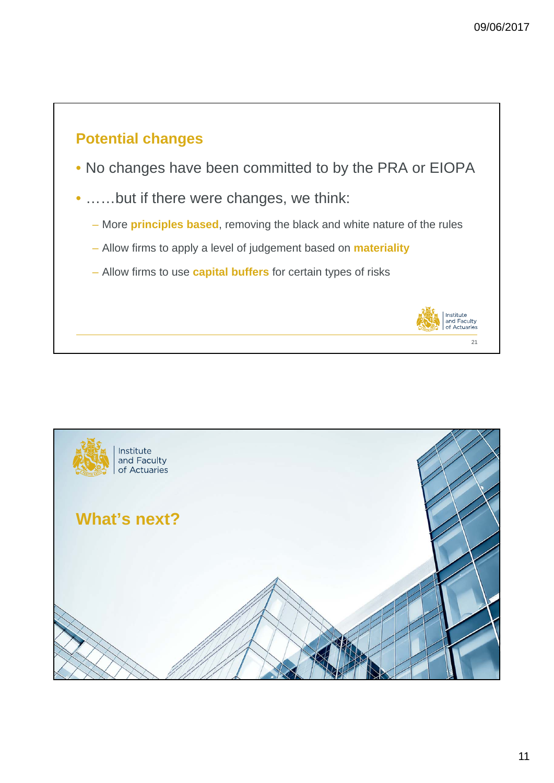